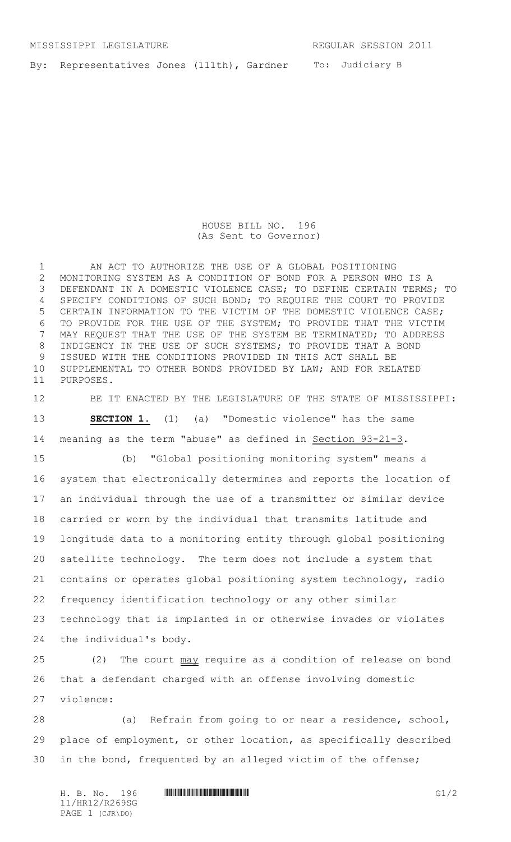To: Judiciary B By: Representatives Jones (111th), Gardner

> HOUSE BILL NO. 196 (As Sent to Governor)

 AN ACT TO AUTHORIZE THE USE OF A GLOBAL POSITIONING MONITORING SYSTEM AS A CONDITION OF BOND FOR A PERSON WHO IS A 3 DEFENDANT IN A DOMESTIC VIOLENCE CASE; TO DEFINE CERTAIN TERMS; TO SPECIFY CONDITIONS OF SUCH BOND; TO REQUIRE THE COURT TO PROVIDE CERTAIN INFORMATION TO THE VICTIM OF THE DOMESTIC VIOLENCE CASE; TO PROVIDE FOR THE USE OF THE SYSTEM; TO PROVIDE THAT THE VICTIM MAY REQUEST THAT THE USE OF THE SYSTEM BE TERMINATED; TO ADDRESS 8 INDIGENCY IN THE USE OF SUCH SYSTEMS; TO PROVIDE THAT A BOND ISSUED WITH THE CONDITIONS PROVIDED IN THIS ACT SHALL BE SUPPLEMENTAL TO OTHER BONDS PROVIDED BY LAW; AND FOR RELATED PURPOSES.

 BE IT ENACTED BY THE LEGISLATURE OF THE STATE OF MISSISSIPPI: **SECTION 1.** (1) (a) "Domestic violence" has the same 14 meaning as the term "abuse" as defined in Section 93-21-3.

 (b) "Global positioning monitoring system" means a system that electronically determines and reports the location of an individual through the use of a transmitter or similar device carried or worn by the individual that transmits latitude and longitude data to a monitoring entity through global positioning satellite technology. The term does not include a system that contains or operates global positioning system technology, radio frequency identification technology or any other similar technology that is implanted in or otherwise invades or violates the individual's body.

25 (2) The court may require as a condition of release on bond that a defendant charged with an offense involving domestic violence:

 (a) Refrain from going to or near a residence, school, place of employment, or other location, as specifically described in the bond, frequented by an alleged victim of the offense;

11/HR12/R269SG PAGE 1 (CJR\DO)

 $H. B. No. 196$  .  $H. B. 196$  G $1/2$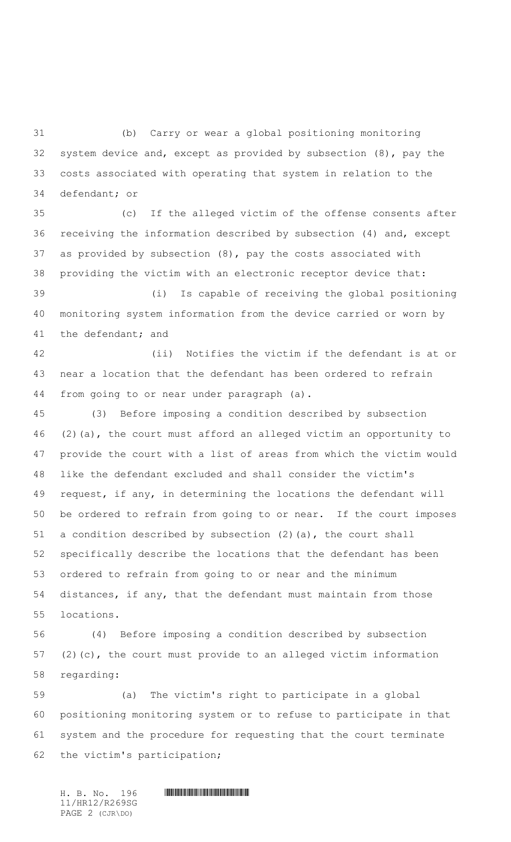(b) Carry or wear a global positioning monitoring system device and, except as provided by subsection (8), pay the costs associated with operating that system in relation to the defendant; or

 (c) If the alleged victim of the offense consents after receiving the information described by subsection (4) and, except as provided by subsection (8), pay the costs associated with providing the victim with an electronic receptor device that:

 (i) Is capable of receiving the global positioning monitoring system information from the device carried or worn by the defendant; and

 (ii) Notifies the victim if the defendant is at or near a location that the defendant has been ordered to refrain from going to or near under paragraph (a).

 (3) Before imposing a condition described by subsection (2)(a), the court must afford an alleged victim an opportunity to provide the court with a list of areas from which the victim would like the defendant excluded and shall consider the victim's request, if any, in determining the locations the defendant will be ordered to refrain from going to or near. If the court imposes a condition described by subsection (2)(a), the court shall specifically describe the locations that the defendant has been ordered to refrain from going to or near and the minimum distances, if any, that the defendant must maintain from those locations.

 (4) Before imposing a condition described by subsection (2)(c), the court must provide to an alleged victim information regarding:

 (a) The victim's right to participate in a global positioning monitoring system or to refuse to participate in that system and the procedure for requesting that the court terminate the victim's participation;

11/HR12/R269SG PAGE 2 (CJR\DO)

 $H. B. NO. 196$  . HERE AND A SECTION AND A SECTION AND REFERENCE ASSOCIATED ASSOCIATED ASSOCIATED ASSOCIATED ASSOCIATED ASSOCIATED ASSOCIATED ASSOCIATED ASSOCIATED ASSOCIATED ASSOCIATED ASSOCIATED ASSOCIATED ASSOCIATED ASSOC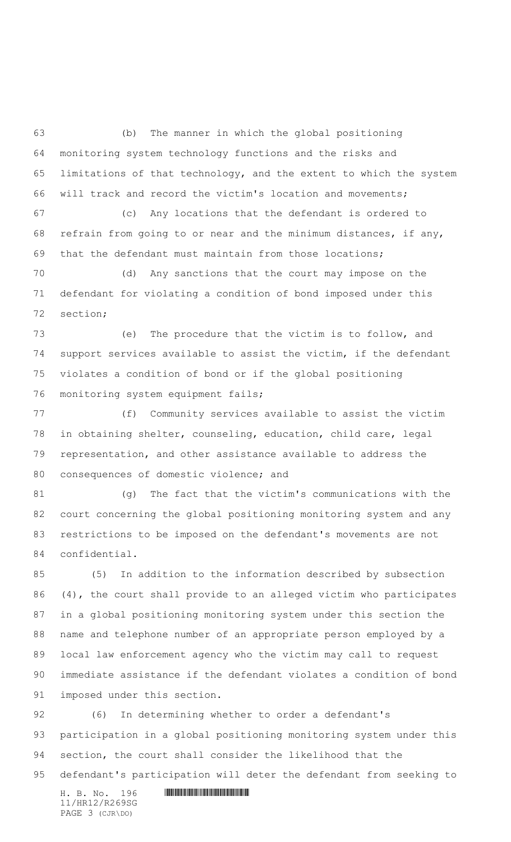(b) The manner in which the global positioning monitoring system technology functions and the risks and limitations of that technology, and the extent to which the system will track and record the victim's location and movements;

 (c) Any locations that the defendant is ordered to refrain from going to or near and the minimum distances, if any, that the defendant must maintain from those locations;

 (d) Any sanctions that the court may impose on the defendant for violating a condition of bond imposed under this section;

 (e) The procedure that the victim is to follow, and support services available to assist the victim, if the defendant violates a condition of bond or if the global positioning monitoring system equipment fails;

 (f) Community services available to assist the victim in obtaining shelter, counseling, education, child care, legal representation, and other assistance available to address the consequences of domestic violence; and

 (g) The fact that the victim's communications with the court concerning the global positioning monitoring system and any restrictions to be imposed on the defendant's movements are not confidential.

 (5) In addition to the information described by subsection (4), the court shall provide to an alleged victim who participates in a global positioning monitoring system under this section the name and telephone number of an appropriate person employed by a local law enforcement agency who the victim may call to request immediate assistance if the defendant violates a condition of bond imposed under this section.

 (6) In determining whether to order a defendant's participation in a global positioning monitoring system under this section, the court shall consider the likelihood that the defendant's participation will deter the defendant from seeking to

 $H. B. NO. 196$  . HENRICH SCHOOL SECTION AND THE SCHOOL SECTION AND RELATIONS 11/HR12/R269SG PAGE 3 (CJR\DO)